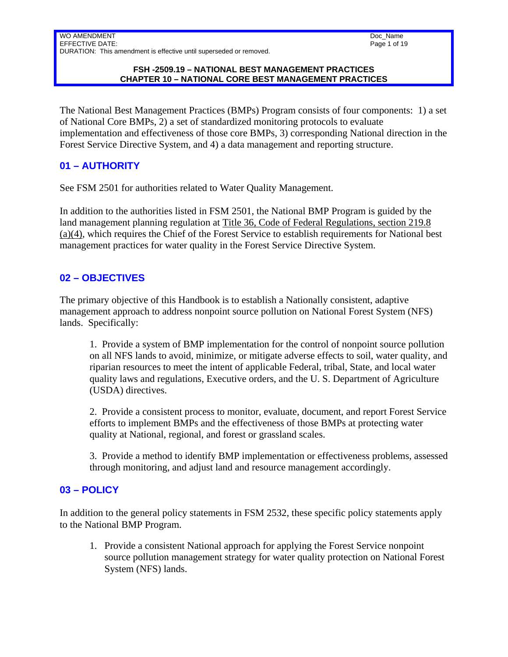Doc\_Name Page 1 of 19

#### **FSH -2509.19 – NATIONAL BEST MANAGEMENT PRACTICES CHAPTER 10 – NATIONAL CORE BEST MANAGEMENT PRACTICES**

The National Best Management Practices (BMPs) Program consists of four components: 1) a set of National Core BMPs, 2) a set of standardized monitoring protocols to evaluate implementation and effectiveness of those core BMPs, 3) corresponding National direction in the Forest Service Directive System, and 4) a data management and reporting structure.

## **01 – AUTHORITY**

See FSM 2501 for authorities related to Water Quality Management.

In addition to the authorities listed in FSM 2501, the National BMP Program is guided by the land management planning regulation at Title 36, Code of Federal Regulations, section 219.8 (a)(4), which requires the Chief of the Forest Service to establish requirements for National best management practices for water quality in the Forest Service Directive System.

## **02 – OBJECTIVES**

The primary objective of this Handbook is to establish a Nationally consistent, adaptive management approach to address nonpoint source pollution on National Forest System (NFS) lands. Specifically:

1. Provide a system of BMP implementation for the control of nonpoint source pollution on all NFS lands to avoid, minimize, or mitigate adverse effects to soil, water quality, and riparian resources to meet the intent of applicable Federal, tribal, State, and local water quality laws and regulations, Executive orders, and the U. S. Department of Agriculture (USDA) directives.

2. Provide a consistent process to monitor, evaluate, document, and report Forest Service efforts to implement BMPs and the effectiveness of those BMPs at protecting water quality at National, regional, and forest or grassland scales.

3. Provide a method to identify BMP implementation or effectiveness problems, assessed through monitoring, and adjust land and resource management accordingly.

### **03 – POLICY**

In addition to the general policy statements in FSM 2532, these specific policy statements apply to the National BMP Program.

1. Provide a consistent National approach for applying the Forest Service nonpoint source pollution management strategy for water quality protection on National Forest System (NFS) lands.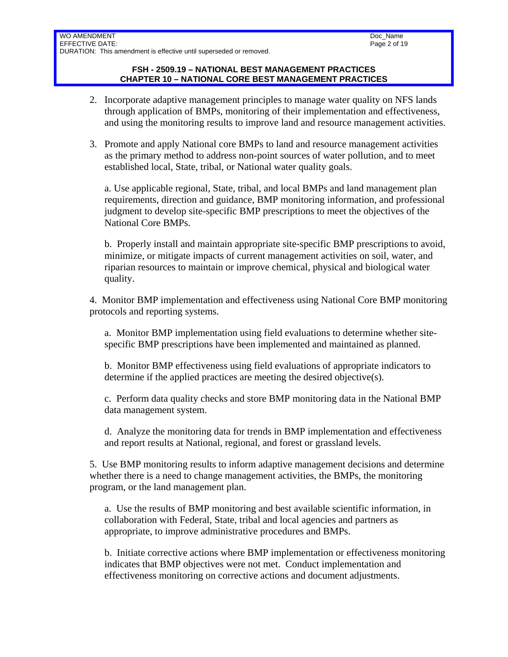#### **FSH - 2509.19 – NATIONAL BEST MANAGEMENT PRACTICES CHAPTER 10 – NATIONAL CORE BEST MANAGEMENT PRACTICES**

- 2. Incorporate adaptive management principles to manage water quality on NFS lands through application of BMPs, monitoring of their implementation and effectiveness, and using the monitoring results to improve land and resource management activities.
- 3. Promote and apply National core BMPs to land and resource management activities as the primary method to address non-point sources of water pollution, and to meet established local, State, tribal, or National water quality goals.

a. Use applicable regional, State, tribal, and local BMPs and land management plan requirements, direction and guidance, BMP monitoring information, and professional judgment to develop site-specific BMP prescriptions to meet the objectives of the National Core BMPs.

b. Properly install and maintain appropriate site-specific BMP prescriptions to avoid, minimize, or mitigate impacts of current management activities on soil, water, and riparian resources to maintain or improve chemical, physical and biological water quality.

4. Monitor BMP implementation and effectiveness using National Core BMP monitoring protocols and reporting systems.

a. Monitor BMP implementation using field evaluations to determine whether sitespecific BMP prescriptions have been implemented and maintained as planned.

b. Monitor BMP effectiveness using field evaluations of appropriate indicators to determine if the applied practices are meeting the desired objective(s).

c. Perform data quality checks and store BMP monitoring data in the National BMP data management system.

d. Analyze the monitoring data for trends in BMP implementation and effectiveness and report results at National, regional, and forest or grassland levels.

5. Use BMP monitoring results to inform adaptive management decisions and determine whether there is a need to change management activities, the BMPs, the monitoring program, or the land management plan.

a. Use the results of BMP monitoring and best available scientific information, in collaboration with Federal, State, tribal and local agencies and partners as appropriate, to improve administrative procedures and BMPs.

b. Initiate corrective actions where BMP implementation or effectiveness monitoring indicates that BMP objectives were not met. Conduct implementation and effectiveness monitoring on corrective actions and document adjustments.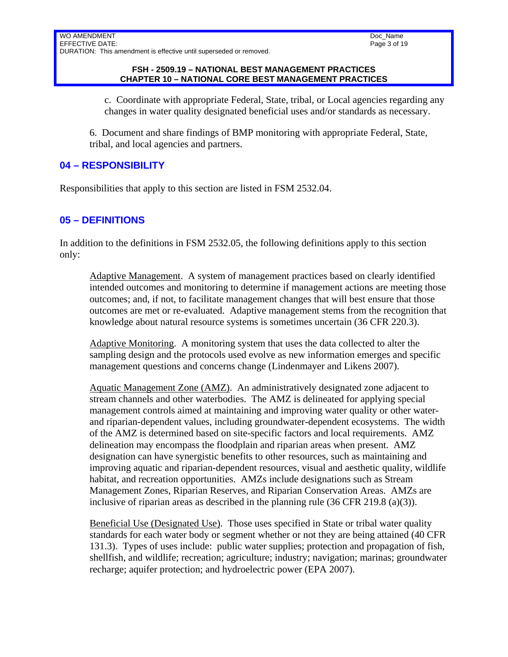#### Doc\_Name Page 3 of 19

#### **FSH - 2509.19 – NATIONAL BEST MANAGEMENT PRACTICES CHAPTER 10 – NATIONAL CORE BEST MANAGEMENT PRACTICES**

c. Coordinate with appropriate Federal, State, tribal, or Local agencies regarding any changes in water quality designated beneficial uses and/or standards as necessary.

6. Document and share findings of BMP monitoring with appropriate Federal, State, tribal, and local agencies and partners.

## **04 – RESPONSIBILITY**

Responsibilities that apply to this section are listed in FSM 2532.04.

## **05 – DEFINITIONS**

In addition to the definitions in FSM 2532.05, the following definitions apply to this section only:

Adaptive Management. A system of management practices based on clearly identified intended outcomes and monitoring to determine if management actions are meeting those outcomes; and, if not, to facilitate management changes that will best ensure that those outcomes are met or re-evaluated. Adaptive management stems from the recognition that knowledge about natural resource systems is sometimes uncertain (36 CFR 220.3).

Adaptive Monitoring. A monitoring system that uses the data collected to alter the sampling design and the protocols used evolve as new information emerges and specific management questions and concerns change (Lindenmayer and Likens 2007).

Aquatic Management Zone (AMZ). An administratively designated zone adjacent to stream channels and other waterbodies. The AMZ is delineated for applying special management controls aimed at maintaining and improving water quality or other waterand riparian-dependent values, including groundwater-dependent ecosystems. The width of the AMZ is determined based on site-specific factors and local requirements. AMZ delineation may encompass the floodplain and riparian areas when present. AMZ designation can have synergistic benefits to other resources, such as maintaining and improving aquatic and riparian-dependent resources, visual and aesthetic quality, wildlife habitat, and recreation opportunities. AMZs include designations such as Stream Management Zones, Riparian Reserves, and Riparian Conservation Areas. AMZs are inclusive of riparian areas as described in the planning rule (36 CFR 219.8 (a)(3)).

Beneficial Use (Designated Use). Those uses specified in State or tribal water quality standards for each water body or segment whether or not they are being attained (40 CFR 131.3). Types of uses include: public water supplies; protection and propagation of fish, shellfish, and wildlife; recreation; agriculture; industry; navigation; marinas; groundwater recharge; aquifer protection; and hydroelectric power (EPA 2007).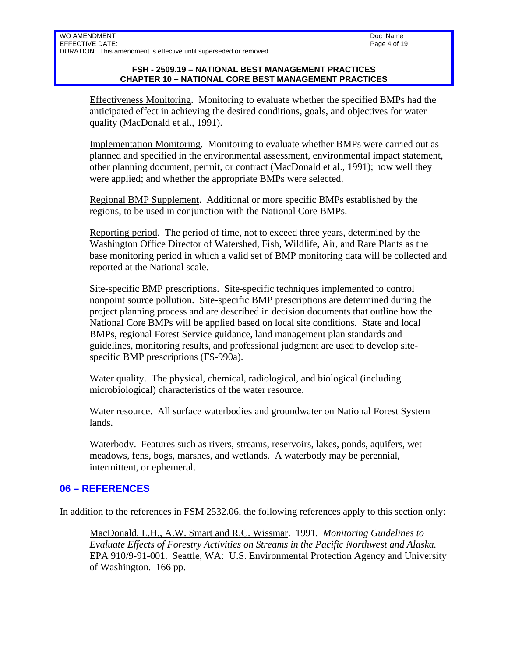#### **FSH - 2509.19 – NATIONAL BEST MANAGEMENT PRACTICES CHAPTER 10 – NATIONAL CORE BEST MANAGEMENT PRACTICES**

Effectiveness Monitoring. Monitoring to evaluate whether the specified BMPs had the anticipated effect in achieving the desired conditions, goals, and objectives for water quality (MacDonald et al., 1991).

Implementation Monitoring. Monitoring to evaluate whether BMPs were carried out as planned and specified in the environmental assessment, environmental impact statement, other planning document, permit, or contract (MacDonald et al., 1991); how well they were applied; and whether the appropriate BMPs were selected.

Regional BMP Supplement. Additional or more specific BMPs established by the regions, to be used in conjunction with the National Core BMPs.

Reporting period. The period of time, not to exceed three years, determined by the Washington Office Director of Watershed, Fish, Wildlife, Air, and Rare Plants as the base monitoring period in which a valid set of BMP monitoring data will be collected and reported at the National scale.

Site-specific BMP prescriptions. Site-specific techniques implemented to control nonpoint source pollution. Site-specific BMP prescriptions are determined during the project planning process and are described in decision documents that outline how the National Core BMPs will be applied based on local site conditions. State and local BMPs, regional Forest Service guidance, land management plan standards and guidelines, monitoring results, and professional judgment are used to develop sitespecific BMP prescriptions (FS-990a).

Water quality. The physical, chemical, radiological, and biological (including microbiological) characteristics of the water resource.

Water resource. All surface waterbodies and groundwater on National Forest System lands.

Waterbody. Features such as rivers, streams, reservoirs, lakes, ponds, aquifers, wet meadows, fens, bogs, marshes, and wetlands. A waterbody may be perennial, intermittent, or ephemeral.

### **06 – REFERENCES**

In addition to the references in FSM 2532.06, the following references apply to this section only:

MacDonald, L.H., A.W. Smart and R.C. Wissmar. 1991. *Monitoring Guidelines to Evaluate Effects of Forestry Activities on Streams in the Pacific Northwest and Alaska.* EPA 910/9-91-001. Seattle, WA: U.S. Environmental Protection Agency and University of Washington. 166 pp.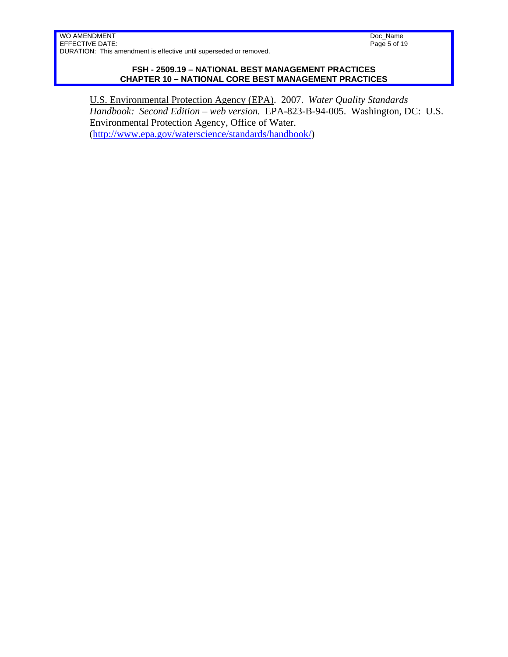Doc\_Name Page 5 of 19

#### **FSH - 2509.19 – NATIONAL BEST MANAGEMENT PRACTICES CHAPTER 10 – NATIONAL CORE BEST MANAGEMENT PRACTICES**

U.S. Environmental Protection Agency (EPA). 2007. *Water Quality Standards Handbook: Second Edition – web version.* EPA-823-B-94-005. Washington, DC: U.S. Environmental Protection Agency, Office of Water. (http://www.epa.gov/waterscience/standards/handbook/)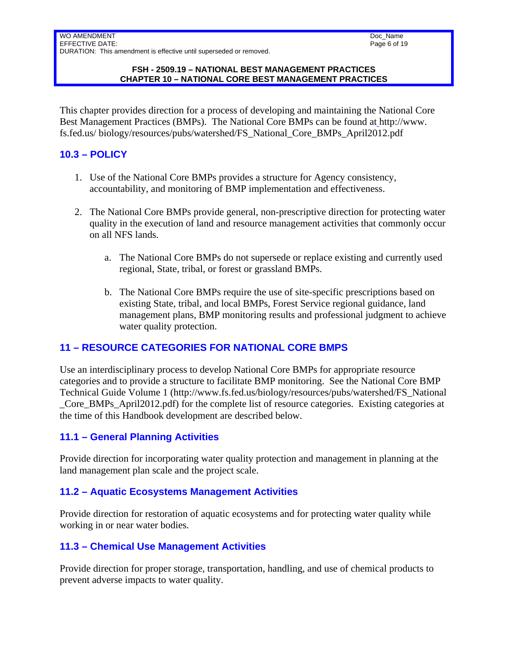#### **FSH - 2509.19 – NATIONAL BEST MANAGEMENT PRACTICES CHAPTER 10 – NATIONAL CORE BEST MANAGEMENT PRACTICES**

This chapter provides direction for a process of developing and maintaining the National Core Best Management Practices (BMPs). The National Core BMPs can be found at http://www. fs.fed.us/ biology/resources/pubs/watershed/FS\_National\_Core\_BMPs\_April2012.pdf

## **10.3 – POLICY**

- 1. Use of the National Core BMPs provides a structure for Agency consistency, accountability, and monitoring of BMP implementation and effectiveness.
- 2. The National Core BMPs provide general, non-prescriptive direction for protecting water quality in the execution of land and resource management activities that commonly occur on all NFS lands.
	- a. The National Core BMPs do not supersede or replace existing and currently used regional, State, tribal, or forest or grassland BMPs.
	- b. The National Core BMPs require the use of site-specific prescriptions based on existing State, tribal, and local BMPs, Forest Service regional guidance, land management plans, BMP monitoring results and professional judgment to achieve water quality protection.

## **11 – RESOURCE CATEGORIES FOR NATIONAL CORE BMPS**

Use an interdisciplinary process to develop National Core BMPs for appropriate resource categories and to provide a structure to facilitate BMP monitoring. See the National Core BMP Technical Guide Volume 1 (http://www.fs.fed.us/biology/resources/pubs/watershed/FS\_National \_Core\_BMPs\_April2012.pdf) for the complete list of resource categories. Existing categories at the time of this Handbook development are described below.

### **11.1 – General Planning Activities**

Provide direction for incorporating water quality protection and management in planning at the land management plan scale and the project scale.

### **11.2 – Aquatic Ecosystems Management Activities**

Provide direction for restoration of aquatic ecosystems and for protecting water quality while working in or near water bodies.

## **11.3 – Chemical Use Management Activities**

Provide direction for proper storage, transportation, handling, and use of chemical products to prevent adverse impacts to water quality.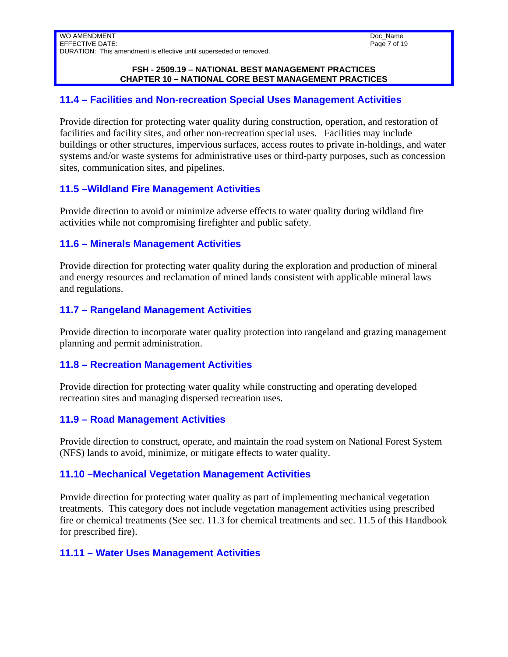#### **FSH - 2509.19 – NATIONAL BEST MANAGEMENT PRACTICES CHAPTER 10 – NATIONAL CORE BEST MANAGEMENT PRACTICES**

### **11.4 – Facilities and Non-recreation Special Uses Management Activities**

Provide direction for protecting water quality during construction, operation, and restoration of facilities and facility sites, and other non-recreation special uses. Facilities may include buildings or other structures, impervious surfaces, access routes to private in-holdings, and water systems and/or waste systems for administrative uses or third-party purposes, such as concession sites, communication sites, and pipelines.

### **11.5 –Wildland Fire Management Activities**

Provide direction to avoid or minimize adverse effects to water quality during wildland fire activities while not compromising firefighter and public safety.

#### **11.6 – Minerals Management Activities**

Provide direction for protecting water quality during the exploration and production of mineral and energy resources and reclamation of mined lands consistent with applicable mineral laws and regulations.

## **11.7 – Rangeland Management Activities**

Provide direction to incorporate water quality protection into rangeland and grazing management planning and permit administration.

### **11.8 – Recreation Management Activities**

Provide direction for protecting water quality while constructing and operating developed recreation sites and managing dispersed recreation uses.

### **11.9 – Road Management Activities**

Provide direction to construct, operate, and maintain the road system on National Forest System (NFS) lands to avoid, minimize, or mitigate effects to water quality.

### **11.10 –Mechanical Vegetation Management Activities**

Provide direction for protecting water quality as part of implementing mechanical vegetation treatments. This category does not include vegetation management activities using prescribed fire or chemical treatments (See sec. 11.3 for chemical treatments and sec. 11.5 of this Handbook for prescribed fire).

### **11.11 – Water Uses Management Activities**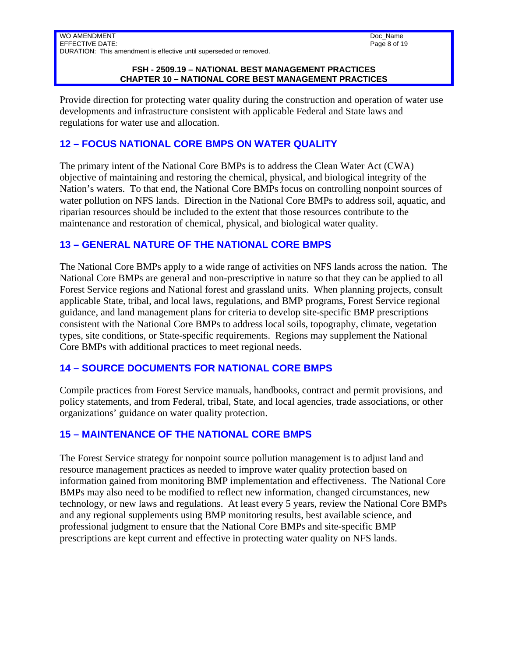#### **FSH - 2509.19 – NATIONAL BEST MANAGEMENT PRACTICES CHAPTER 10 – NATIONAL CORE BEST MANAGEMENT PRACTICES**

Provide direction for protecting water quality during the construction and operation of water use developments and infrastructure consistent with applicable Federal and State laws and regulations for water use and allocation.

## **12 – FOCUS NATIONAL CORE BMPS ON WATER QUALITY**

The primary intent of the National Core BMPs is to address the Clean Water Act (CWA) objective of maintaining and restoring the chemical, physical, and biological integrity of the Nation's waters. To that end, the National Core BMPs focus on controlling nonpoint sources of water pollution on NFS lands. Direction in the National Core BMPs to address soil, aquatic, and riparian resources should be included to the extent that those resources contribute to the maintenance and restoration of chemical, physical, and biological water quality.

### **13 – GENERAL NATURE OF THE NATIONAL CORE BMPS**

The National Core BMPs apply to a wide range of activities on NFS lands across the nation. The National Core BMPs are general and non-prescriptive in nature so that they can be applied to all Forest Service regions and National forest and grassland units. When planning projects, consult applicable State, tribal, and local laws, regulations, and BMP programs, Forest Service regional guidance, and land management plans for criteria to develop site-specific BMP prescriptions consistent with the National Core BMPs to address local soils, topography, climate, vegetation types, site conditions, or State-specific requirements. Regions may supplement the National Core BMPs with additional practices to meet regional needs.

### **14 – SOURCE DOCUMENTS FOR NATIONAL CORE BMPS**

Compile practices from Forest Service manuals, handbooks, contract and permit provisions, and policy statements, and from Federal, tribal, State, and local agencies, trade associations, or other organizations' guidance on water quality protection.

## **15 – MAINTENANCE OF THE NATIONAL CORE BMPS**

The Forest Service strategy for nonpoint source pollution management is to adjust land and resource management practices as needed to improve water quality protection based on information gained from monitoring BMP implementation and effectiveness. The National Core BMPs may also need to be modified to reflect new information, changed circumstances, new technology, or new laws and regulations. At least every 5 years, review the National Core BMPs and any regional supplements using BMP monitoring results, best available science, and professional judgment to ensure that the National Core BMPs and site-specific BMP prescriptions are kept current and effective in protecting water quality on NFS lands.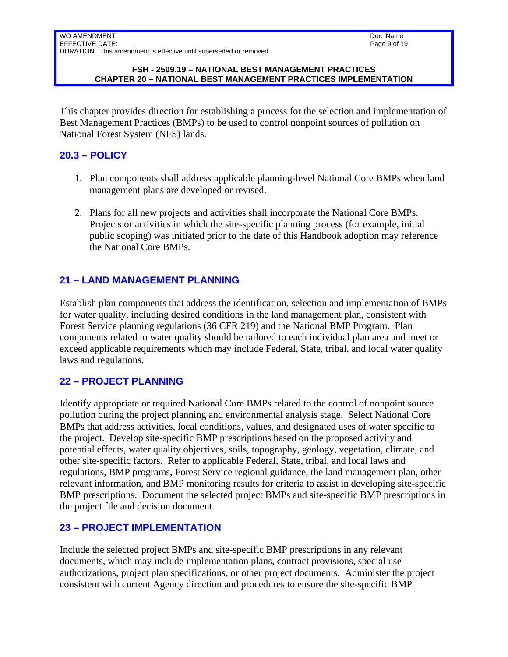#### **FSH - 2509.19 – NATIONAL BEST MANAGEMENT PRACTICES CHAPTER 20 – NATIONAL BEST MANAGEMENT PRACTICES IMPLEMENTATION**

This chapter provides direction for establishing a process for the selection and implementation of Best Management Practices (BMPs) to be used to control nonpoint sources of pollution on National Forest System (NFS) lands.

## **20.3 – POLICY**

- 1. Plan components shall address applicable planning-level National Core BMPs when land management plans are developed or revised.
- 2. Plans for all new projects and activities shall incorporate the National Core BMPs. Projects or activities in which the site-specific planning process (for example, initial public scoping) was initiated prior to the date of this Handbook adoption may reference the National Core BMPs.

## **21 – LAND MANAGEMENT PLANNING**

Establish plan components that address the identification, selection and implementation of BMPs for water quality, including desired conditions in the land management plan, consistent with Forest Service planning regulations (36 CFR 219) and the National BMP Program. Plan components related to water quality should be tailored to each individual plan area and meet or exceed applicable requirements which may include Federal, State, tribal, and local water quality laws and regulations.

### **22 – PROJECT PLANNING**

Identify appropriate or required National Core BMPs related to the control of nonpoint source pollution during the project planning and environmental analysis stage. Select National Core BMPs that address activities, local conditions, values, and designated uses of water specific to the project. Develop site-specific BMP prescriptions based on the proposed activity and potential effects, water quality objectives, soils, topography, geology, vegetation, climate, and other site-specific factors. Refer to applicable Federal, State, tribal, and local laws and regulations, BMP programs, Forest Service regional guidance, the land management plan, other relevant information, and BMP monitoring results for criteria to assist in developing site-specific BMP prescriptions. Document the selected project BMPs and site-specific BMP prescriptions in the project file and decision document.

### **23 – PROJECT IMPLEMENTATION**

Include the selected project BMPs and site-specific BMP prescriptions in any relevant documents, which may include implementation plans, contract provisions, special use authorizations, project plan specifications, or other project documents. Administer the project consistent with current Agency direction and procedures to ensure the site-specific BMP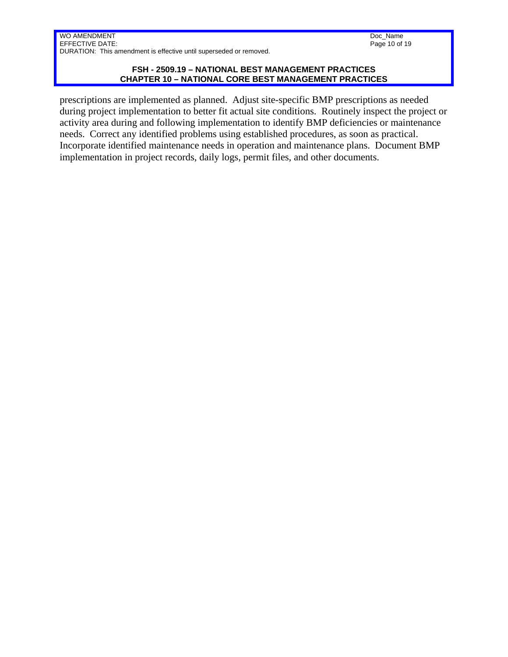Doc\_Name Page 10 of 19

#### **FSH - 2509.19 – NATIONAL BEST MANAGEMENT PRACTICES CHAPTER 10 – NATIONAL CORE BEST MANAGEMENT PRACTICES**

prescriptions are implemented as planned. Adjust site-specific BMP prescriptions as needed during project implementation to better fit actual site conditions. Routinely inspect the project or activity area during and following implementation to identify BMP deficiencies or maintenance needs. Correct any identified problems using established procedures, as soon as practical. Incorporate identified maintenance needs in operation and maintenance plans. Document BMP implementation in project records, daily logs, permit files, and other documents.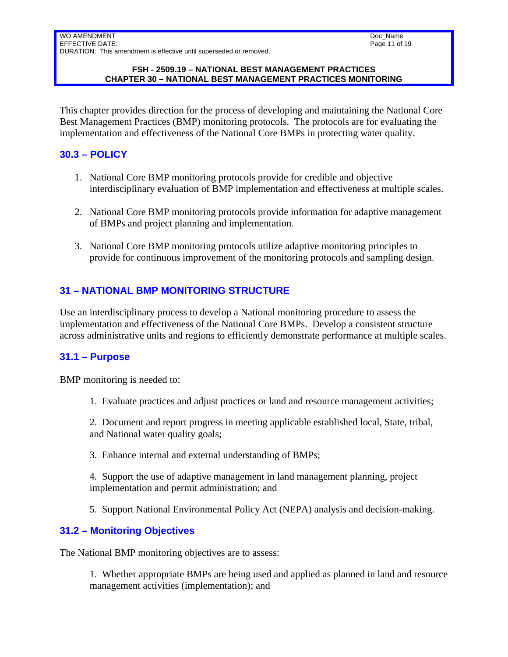#### **FSH - 2509.19 – NATIONAL BEST MANAGEMENT PRACTICES CHAPTER 30 – NATIONAL BEST MANAGEMENT PRACTICES MONITORING**

This chapter provides direction for the process of developing and maintaining the National Core Best Management Practices (BMP) monitoring protocols. The protocols are for evaluating the implementation and effectiveness of the National Core BMPs in protecting water quality.

## **30.3 – POLICY**

- 1. National Core BMP monitoring protocols provide for credible and objective interdisciplinary evaluation of BMP implementation and effectiveness at multiple scales.
- 2. National Core BMP monitoring protocols provide information for adaptive management of BMPs and project planning and implementation.
- 3. National Core BMP monitoring protocols utilize adaptive monitoring principles to provide for continuous improvement of the monitoring protocols and sampling design.

# **31 – NATIONAL BMP MONITORING STRUCTURE**

Use an interdisciplinary process to develop a National monitoring procedure to assess the implementation and effectiveness of the National Core BMPs. Develop a consistent structure across administrative units and regions to efficiently demonstrate performance at multiple scales.

## **31.1 – Purpose**

BMP monitoring is needed to:

1. Evaluate practices and adjust practices or land and resource management activities;

2. Document and report progress in meeting applicable established local, State, tribal, and National water quality goals;

3. Enhance internal and external understanding of BMPs;

4. Support the use of adaptive management in land management planning, project implementation and permit administration; and

5. Support National Environmental Policy Act (NEPA) analysis and decision-making.

## **31.2 – Monitoring Objectives**

The National BMP monitoring objectives are to assess:

1. Whether appropriate BMPs are being used and applied as planned in land and resource management activities (implementation); and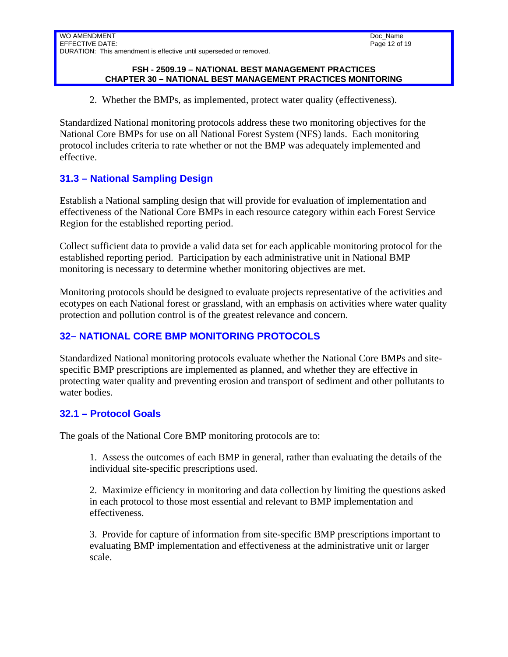#### **FSH - 2509.19 – NATIONAL BEST MANAGEMENT PRACTICES CHAPTER 30 – NATIONAL BEST MANAGEMENT PRACTICES MONITORING**

2. Whether the BMPs, as implemented, protect water quality (effectiveness).

Standardized National monitoring protocols address these two monitoring objectives for the National Core BMPs for use on all National Forest System (NFS) lands. Each monitoring protocol includes criteria to rate whether or not the BMP was adequately implemented and effective.

## **31.3 – National Sampling Design**

Establish a National sampling design that will provide for evaluation of implementation and effectiveness of the National Core BMPs in each resource category within each Forest Service Region for the established reporting period.

Collect sufficient data to provide a valid data set for each applicable monitoring protocol for the established reporting period. Participation by each administrative unit in National BMP monitoring is necessary to determine whether monitoring objectives are met.

Monitoring protocols should be designed to evaluate projects representative of the activities and ecotypes on each National forest or grassland, with an emphasis on activities where water quality protection and pollution control is of the greatest relevance and concern.

# **32– NATIONAL CORE BMP MONITORING PROTOCOLS**

Standardized National monitoring protocols evaluate whether the National Core BMPs and sitespecific BMP prescriptions are implemented as planned, and whether they are effective in protecting water quality and preventing erosion and transport of sediment and other pollutants to water bodies.

## **32.1 – Protocol Goals**

The goals of the National Core BMP monitoring protocols are to:

1. Assess the outcomes of each BMP in general, rather than evaluating the details of the individual site-specific prescriptions used.

2. Maximize efficiency in monitoring and data collection by limiting the questions asked in each protocol to those most essential and relevant to BMP implementation and effectiveness.

3. Provide for capture of information from site-specific BMP prescriptions important to evaluating BMP implementation and effectiveness at the administrative unit or larger scale.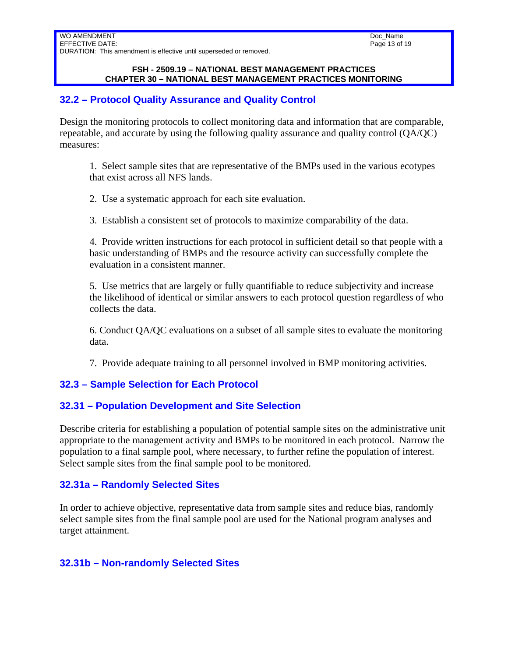#### **FSH - 2509.19 – NATIONAL BEST MANAGEMENT PRACTICES CHAPTER 30 – NATIONAL BEST MANAGEMENT PRACTICES MONITORING**

### **32.2 – Protocol Quality Assurance and Quality Control**

Design the monitoring protocols to collect monitoring data and information that are comparable, repeatable, and accurate by using the following quality assurance and quality control (QA/QC) measures:

1. Select sample sites that are representative of the BMPs used in the various ecotypes that exist across all NFS lands.

2. Use a systematic approach for each site evaluation.

3. Establish a consistent set of protocols to maximize comparability of the data.

4. Provide written instructions for each protocol in sufficient detail so that people with a basic understanding of BMPs and the resource activity can successfully complete the evaluation in a consistent manner.

5. Use metrics that are largely or fully quantifiable to reduce subjectivity and increase the likelihood of identical or similar answers to each protocol question regardless of who collects the data.

6. Conduct QA/QC evaluations on a subset of all sample sites to evaluate the monitoring data.

7. Provide adequate training to all personnel involved in BMP monitoring activities.

## **32.3 – Sample Selection for Each Protocol**

### **32.31 – Population Development and Site Selection**

Describe criteria for establishing a population of potential sample sites on the administrative unit appropriate to the management activity and BMPs to be monitored in each protocol. Narrow the population to a final sample pool, where necessary, to further refine the population of interest. Select sample sites from the final sample pool to be monitored.

### **32.31a – Randomly Selected Sites**

In order to achieve objective, representative data from sample sites and reduce bias, randomly select sample sites from the final sample pool are used for the National program analyses and target attainment.

### **32.31b – Non-randomly Selected Sites**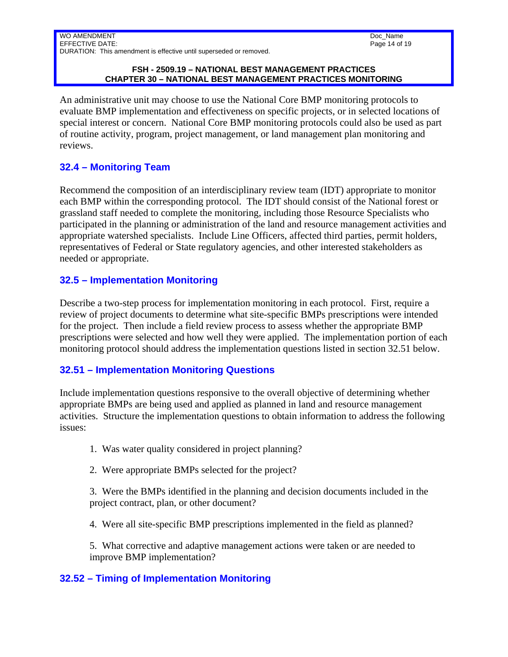#### **FSH - 2509.19 – NATIONAL BEST MANAGEMENT PRACTICES CHAPTER 30 – NATIONAL BEST MANAGEMENT PRACTICES MONITORING**

An administrative unit may choose to use the National Core BMP monitoring protocols to evaluate BMP implementation and effectiveness on specific projects, or in selected locations of special interest or concern. National Core BMP monitoring protocols could also be used as part of routine activity, program, project management, or land management plan monitoring and reviews.

## **32.4 – Monitoring Team**

Recommend the composition of an interdisciplinary review team (IDT) appropriate to monitor each BMP within the corresponding protocol. The IDT should consist of the National forest or grassland staff needed to complete the monitoring, including those Resource Specialists who participated in the planning or administration of the land and resource management activities and appropriate watershed specialists. Include Line Officers, affected third parties, permit holders, representatives of Federal or State regulatory agencies, and other interested stakeholders as needed or appropriate.

## **32.5 – Implementation Monitoring**

Describe a two-step process for implementation monitoring in each protocol. First, require a review of project documents to determine what site-specific BMPs prescriptions were intended for the project. Then include a field review process to assess whether the appropriate BMP prescriptions were selected and how well they were applied. The implementation portion of each monitoring protocol should address the implementation questions listed in section 32.51 below.

### **32.51 – Implementation Monitoring Questions**

Include implementation questions responsive to the overall objective of determining whether appropriate BMPs are being used and applied as planned in land and resource management activities. Structure the implementation questions to obtain information to address the following issues:

- 1. Was water quality considered in project planning?
- 2. Were appropriate BMPs selected for the project?

3. Were the BMPs identified in the planning and decision documents included in the project contract, plan, or other document?

4. Were all site-specific BMP prescriptions implemented in the field as planned?

5. What corrective and adaptive management actions were taken or are needed to improve BMP implementation?

## **32.52 – Timing of Implementation Monitoring**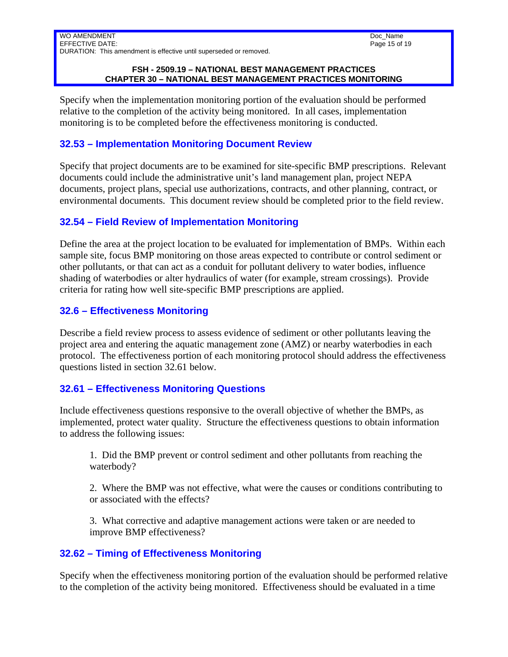#### Doc\_Name Page 15 of 19

#### **FSH - 2509.19 – NATIONAL BEST MANAGEMENT PRACTICES CHAPTER 30 – NATIONAL BEST MANAGEMENT PRACTICES MONITORING**

Specify when the implementation monitoring portion of the evaluation should be performed relative to the completion of the activity being monitored. In all cases, implementation monitoring is to be completed before the effectiveness monitoring is conducted.

## **32.53 – Implementation Monitoring Document Review**

Specify that project documents are to be examined for site-specific BMP prescriptions. Relevant documents could include the administrative unit's land management plan, project NEPA documents, project plans, special use authorizations, contracts, and other planning, contract, or environmental documents. This document review should be completed prior to the field review.

## **32.54 – Field Review of Implementation Monitoring**

Define the area at the project location to be evaluated for implementation of BMPs. Within each sample site, focus BMP monitoring on those areas expected to contribute or control sediment or other pollutants, or that can act as a conduit for pollutant delivery to water bodies, influence shading of waterbodies or alter hydraulics of water (for example, stream crossings). Provide criteria for rating how well site-specific BMP prescriptions are applied.

## **32.6 – Effectiveness Monitoring**

Describe a field review process to assess evidence of sediment or other pollutants leaving the project area and entering the aquatic management zone (AMZ) or nearby waterbodies in each protocol. The effectiveness portion of each monitoring protocol should address the effectiveness questions listed in section 32.61 below.

## **32.61 – Effectiveness Monitoring Questions**

Include effectiveness questions responsive to the overall objective of whether the BMPs, as implemented, protect water quality. Structure the effectiveness questions to obtain information to address the following issues:

1. Did the BMP prevent or control sediment and other pollutants from reaching the waterbody?

2. Where the BMP was not effective, what were the causes or conditions contributing to or associated with the effects?

3. What corrective and adaptive management actions were taken or are needed to improve BMP effectiveness?

## **32.62 – Timing of Effectiveness Monitoring**

Specify when the effectiveness monitoring portion of the evaluation should be performed relative to the completion of the activity being monitored. Effectiveness should be evaluated in a time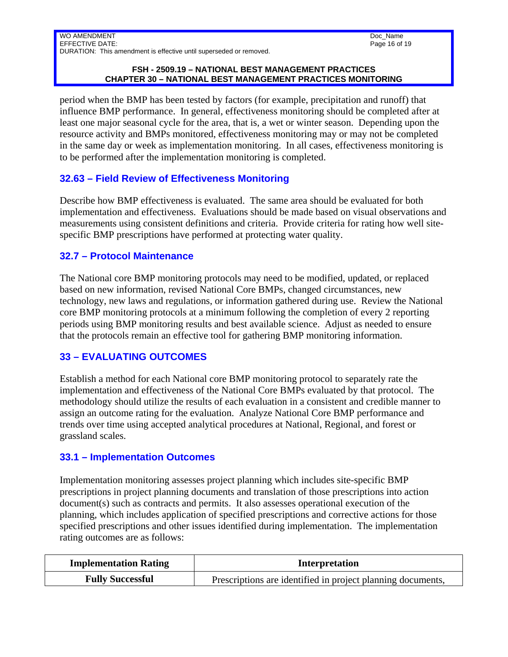#### **FSH - 2509.19 – NATIONAL BEST MANAGEMENT PRACTICES CHAPTER 30 – NATIONAL BEST MANAGEMENT PRACTICES MONITORING**

period when the BMP has been tested by factors (for example, precipitation and runoff) that influence BMP performance. In general, effectiveness monitoring should be completed after at least one major seasonal cycle for the area, that is, a wet or winter season. Depending upon the resource activity and BMPs monitored, effectiveness monitoring may or may not be completed in the same day or week as implementation monitoring. In all cases, effectiveness monitoring is to be performed after the implementation monitoring is completed.

## **32.63 – Field Review of Effectiveness Monitoring**

Describe how BMP effectiveness is evaluated. The same area should be evaluated for both implementation and effectiveness. Evaluations should be made based on visual observations and measurements using consistent definitions and criteria. Provide criteria for rating how well sitespecific BMP prescriptions have performed at protecting water quality.

## **32.7 – Protocol Maintenance**

The National core BMP monitoring protocols may need to be modified, updated, or replaced based on new information, revised National Core BMPs, changed circumstances, new technology, new laws and regulations, or information gathered during use. Review the National core BMP monitoring protocols at a minimum following the completion of every 2 reporting periods using BMP monitoring results and best available science. Adjust as needed to ensure that the protocols remain an effective tool for gathering BMP monitoring information.

## **33 – EVALUATING OUTCOMES**

Establish a method for each National core BMP monitoring protocol to separately rate the implementation and effectiveness of the National Core BMPs evaluated by that protocol. The methodology should utilize the results of each evaluation in a consistent and credible manner to assign an outcome rating for the evaluation. Analyze National Core BMP performance and trends over time using accepted analytical procedures at National, Regional, and forest or grassland scales.

### **33.1 – Implementation Outcomes**

Implementation monitoring assesses project planning which includes site-specific BMP prescriptions in project planning documents and translation of those prescriptions into action document(s) such as contracts and permits. It also assesses operational execution of the planning, which includes application of specified prescriptions and corrective actions for those specified prescriptions and other issues identified during implementation. The implementation rating outcomes are as follows:

| <b>Implementation Rating</b> | <b>Interpretation</b>                                       |
|------------------------------|-------------------------------------------------------------|
| <b>Fully Successful</b>      | Prescriptions are identified in project planning documents, |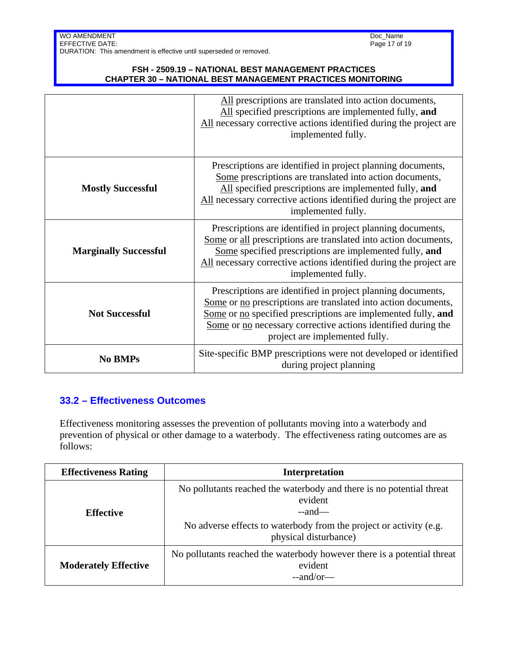#### **FSH - 2509.19 – NATIONAL BEST MANAGEMENT PRACTICES CHAPTER 30 – NATIONAL BEST MANAGEMENT PRACTICES MONITORING**

|                              | All prescriptions are translated into action documents,<br>All specified prescriptions are implemented fully, and<br>All necessary corrective actions identified during the project are<br>implemented fully.                                                                                     |
|------------------------------|---------------------------------------------------------------------------------------------------------------------------------------------------------------------------------------------------------------------------------------------------------------------------------------------------|
| <b>Mostly Successful</b>     | Prescriptions are identified in project planning documents,<br>Some prescriptions are translated into action documents,<br>All specified prescriptions are implemented fully, and<br>All necessary corrective actions identified during the project are<br>implemented fully.                     |
| <b>Marginally Successful</b> | Prescriptions are identified in project planning documents,<br>Some or all prescriptions are translated into action documents,<br>Some specified prescriptions are implemented fully, and<br>All necessary corrective actions identified during the project are<br>implemented fully.             |
| <b>Not Successful</b>        | Prescriptions are identified in project planning documents,<br>Some or no prescriptions are translated into action documents,<br>Some or no specified prescriptions are implemented fully, and<br>Some or no necessary corrective actions identified during the<br>project are implemented fully. |
| <b>No BMPs</b>               | Site-specific BMP prescriptions were not developed or identified<br>during project planning                                                                                                                                                                                                       |

## **33.2 – Effectiveness Outcomes**

Effectiveness monitoring assesses the prevention of pollutants moving into a waterbody and prevention of physical or other damage to a waterbody. The effectiveness rating outcomes are as follows:

| <b>Effectiveness Rating</b> | <b>Interpretation</b>                                                                                                                                                                      |  |  |  |
|-----------------------------|--------------------------------------------------------------------------------------------------------------------------------------------------------------------------------------------|--|--|--|
| <b>Effective</b>            | No pollutants reached the waterbody and there is no potential threat<br>evident<br>$-$ and—<br>No adverse effects to waterbody from the project or activity (e.g.<br>physical disturbance) |  |  |  |
| <b>Moderately Effective</b> | No pollutants reached the waterbody however there is a potential threat<br>evident<br>$-$ and/or—                                                                                          |  |  |  |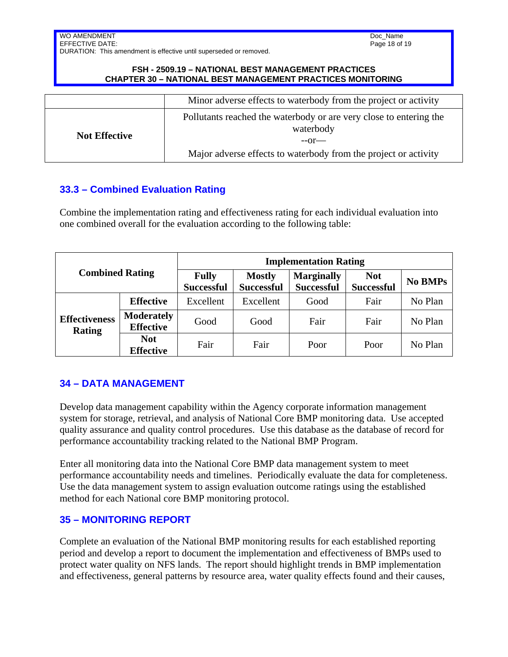Doc\_Name Page 18 of 19

WO AMENDMENT EFFECTIVE DATE: DURATION: This amendment is effective until superseded or removed.

#### **FSH - 2509.19 – NATIONAL BEST MANAGEMENT PRACTICES CHAPTER 30 – NATIONAL BEST MANAGEMENT PRACTICES MONITORING**

|                      | Minor adverse effects to waterbody from the project or activity                            |  |
|----------------------|--------------------------------------------------------------------------------------------|--|
| <b>Not Effective</b> | Pollutants reached the waterbody or are very close to entering the<br>waterbody<br>$-0r$ — |  |
|                      | Major adverse effects to waterbody from the project or activity                            |  |

# **33.3 – Combined Evaluation Rating**

Combine the implementation rating and effectiveness rating for each individual evaluation into one combined overall for the evaluation according to the following table:

| <b>Combined Rating</b>                |                                       | <b>Implementation Rating</b>      |                                    |                                        |                                 |                |  |
|---------------------------------------|---------------------------------------|-----------------------------------|------------------------------------|----------------------------------------|---------------------------------|----------------|--|
|                                       |                                       | <b>Fully</b><br><b>Successful</b> | <b>Mostly</b><br><b>Successful</b> | <b>Marginally</b><br><b>Successful</b> | <b>Not</b><br><b>Successful</b> | <b>No BMPs</b> |  |
| <b>Effectiveness</b><br><b>Rating</b> | <b>Effective</b>                      | Excellent                         | Excellent                          | Good                                   | Fair                            | No Plan        |  |
|                                       | <b>Moderately</b><br><b>Effective</b> | Good                              | Good                               | Fair                                   | Fair                            | No Plan        |  |
|                                       | <b>Not</b><br><b>Effective</b>        | Fair                              | Fair                               | Poor                                   | Poor                            | No Plan        |  |

## **34 – DATA MANAGEMENT**

Develop data management capability within the Agency corporate information management system for storage, retrieval, and analysis of National Core BMP monitoring data. Use accepted quality assurance and quality control procedures. Use this database as the database of record for performance accountability tracking related to the National BMP Program.

Enter all monitoring data into the National Core BMP data management system to meet performance accountability needs and timelines. Periodically evaluate the data for completeness. Use the data management system to assign evaluation outcome ratings using the established method for each National core BMP monitoring protocol.

### **35 – MONITORING REPORT**

Complete an evaluation of the National BMP monitoring results for each established reporting period and develop a report to document the implementation and effectiveness of BMPs used to protect water quality on NFS lands. The report should highlight trends in BMP implementation and effectiveness, general patterns by resource area, water quality effects found and their causes,